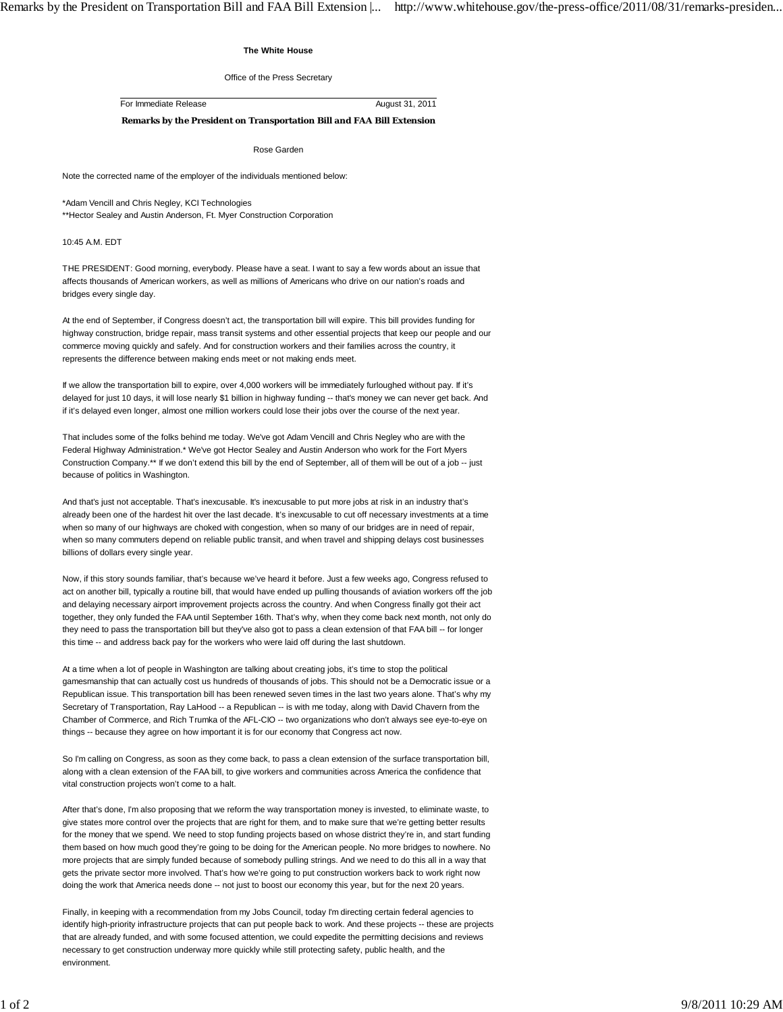## **The White House**

Office of the Press Secretary

For Immediate Release August 31, 2011

**Remarks by the President on Transportation Bill and FAA Bill Extension**

Rose Garden

Note the corrected name of the employer of the individuals mentioned below:

\*Adam Vencill and Chris Negley, KCI Technologies

\*\*Hector Sealey and Austin Anderson, Ft. Myer Construction Corporation

10:45 A.M. EDT

THE PRESIDENT: Good morning, everybody. Please have a seat. I want to say a few words about an issue that affects thousands of American workers, as well as millions of Americans who drive on our nation's roads and bridges every single day.

At the end of September, if Congress doesn't act, the transportation bill will expire. This bill provides funding for highway construction, bridge repair, mass transit systems and other essential projects that keep our people and our commerce moving quickly and safely. And for construction workers and their families across the country, it represents the difference between making ends meet or not making ends meet.

If we allow the transportation bill to expire, over 4,000 workers will be immediately furloughed without pay. If it's delayed for just 10 days, it will lose nearly \$1 billion in highway funding -- that's money we can never get back. And if it's delayed even longer, almost one million workers could lose their jobs over the course of the next year.

That includes some of the folks behind me today. We've got Adam Vencill and Chris Negley who are with the Federal Highway Administration.\* We've got Hector Sealey and Austin Anderson who work for the Fort Myers Construction Company.\*\* If we don't extend this bill by the end of September, all of them will be out of a job -- just because of politics in Washington.

And that's just not acceptable. That's inexcusable. It's inexcusable to put more jobs at risk in an industry that's already been one of the hardest hit over the last decade. It's inexcusable to cut off necessary investments at a time when so many of our highways are choked with congestion, when so many of our bridges are in need of repair. when so many commuters depend on reliable public transit, and when travel and shipping delays cost businesses billions of dollars every single year.

Now, if this story sounds familiar, that's because we've heard it before. Just a few weeks ago, Congress refused to act on another bill, typically a routine bill, that would have ended up pulling thousands of aviation workers off the job and delaying necessary airport improvement projects across the country. And when Congress finally got their act together, they only funded the FAA until September 16th. That's why, when they come back next month, not only do they need to pass the transportation bill but they've also got to pass a clean extension of that FAA bill -- for longer this time -- and address back pay for the workers who were laid off during the last shutdown.

At a time when a lot of people in Washington are talking about creating jobs, it's time to stop the political gamesmanship that can actually cost us hundreds of thousands of jobs. This should not be a Democratic issue or a Republican issue. This transportation bill has been renewed seven times in the last two years alone. That's why my Secretary of Transportation, Ray LaHood -- a Republican -- is with me today, along with David Chavern from the Chamber of Commerce, and Rich Trumka of the AFL-CIO -- two organizations who don't always see eye-to-eye on things -- because they agree on how important it is for our economy that Congress act now.

So I'm calling on Congress, as soon as they come back, to pass a clean extension of the surface transportation bill, along with a clean extension of the FAA bill, to give workers and communities across America the confidence that vital construction projects won't come to a halt.

After that's done, I'm also proposing that we reform the way transportation money is invested, to eliminate waste, to give states more control over the projects that are right for them, and to make sure that we're getting better results for the money that we spend. We need to stop funding projects based on whose district they're in, and start funding them based on how much good they're going to be doing for the American people. No more bridges to nowhere. No more projects that are simply funded because of somebody pulling strings. And we need to do this all in a way that gets the private sector more involved. That's how we're going to put construction workers back to work right now doing the work that America needs done -- not just to boost our economy this year, but for the next 20 years.

Finally, in keeping with a recommendation from my Jobs Council, today I'm directing certain federal agencies to identify high-priority infrastructure projects that can put people back to work. And these projects -- these are projects that are already funded, and with some focused attention, we could expedite the permitting decisions and reviews necessary to get construction underway more quickly while still protecting safety, public health, and the environment.